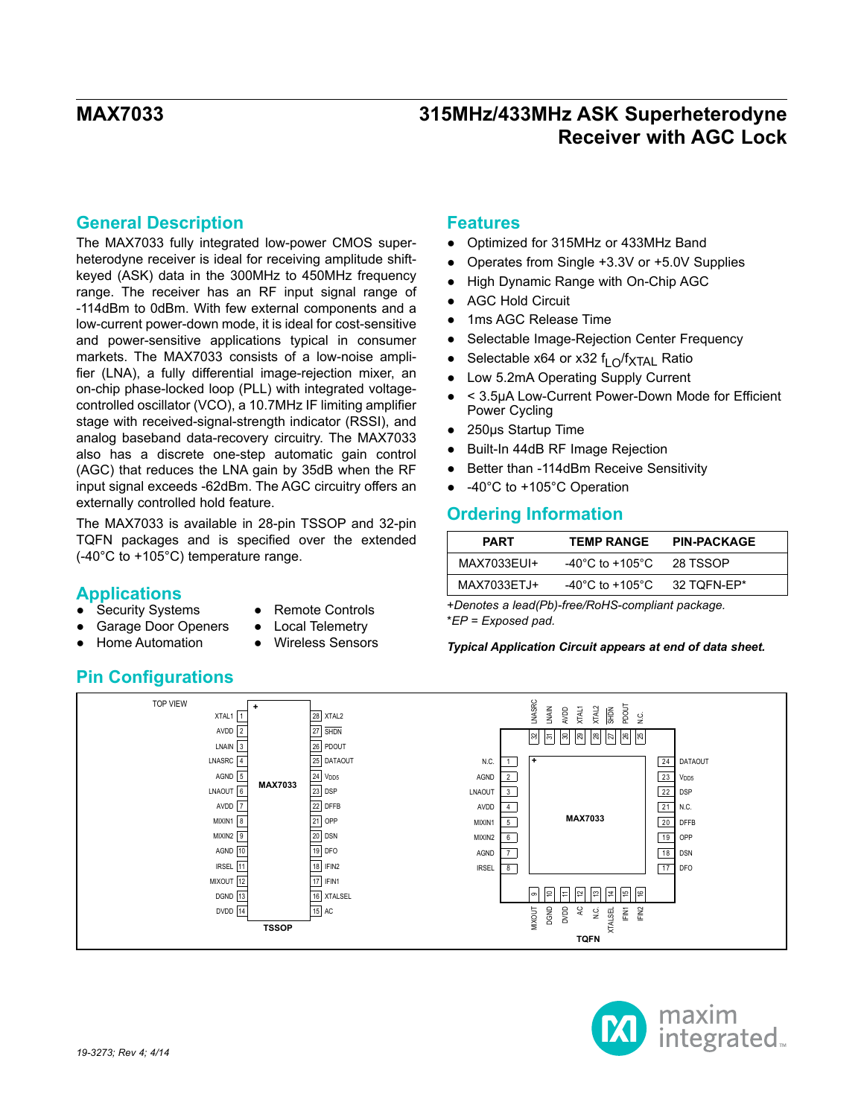## **General Description**

The MAX7033 fully integrated low-power CMOS superheterodyne receiver is ideal for receiving amplitude shiftkeyed (ASK) data in the 300MHz to 450MHz frequency range. The receiver has an RF input signal range of -114dBm to 0dBm. With few external components and a low-current power-down mode, it is ideal for cost-sensitive and power-sensitive applications typical in consumer markets. The MAX7033 consists of a low-noise amplifier (LNA), a fully differential image-rejection mixer, an on-chip phase-locked loop (PLL) with integrated voltagecontrolled oscillator (VCO), a 10.7MHz IF limiting amplifier stage with received-signal-strength indicator (RSSI), and analog baseband data-recovery circuitry. The MAX7033 also has a discrete one-step automatic gain control (AGC) that reduces the LNA gain by 35dB when the RF input signal exceeds -62dBm. The AGC circuitry offers an externally controlled hold feature.

The MAX7033 is available in 28-pin TSSOP and 32-pin TQFN packages and is specified over the extended (-40°C to +105°C) temperature range.

## **Applications**

- **Security Systems**
- **Remote Controls**
- **Garage Door Openers**
- **Local Telemetry** Wireless Sensors
- **Home Automation**
- **Pin Configurations**

## **Features**

- Optimized for 315MHz or 433MHz Band
- Operates from Single +3.3V or +5.0V Supplies
- High Dynamic Range with On-Chip AGC
- AGC Hold Circuit
- 1ms AGC Release Time
- Selectable Image-Rejection Center Frequency
- Selectable x64 or x32  $f<sub>L</sub>$   $\bigcap$ /f<sub>XTAI</sub> Ratio
- Low 5.2mA Operating Supply Current
- < 3.5μA Low-Current Power-Down Mode for Efficient Power Cycling
- 250μs Startup Time
- Built-In 44dB RF Image Rejection
- Better than -114dBm Receive Sensitivity
- -40°C to +105°C Operation

## **Ordering Information**

| <b>PART</b> | <b>TEMP RANGE</b> | <b>PIN-PACKAGE</b> |
|-------------|-------------------|--------------------|
| MAX7033EUI+ | -40°C to +105°C.  | <b>28 TSSOP</b>    |
| MAX7033ETJ+ | -40°C to +105°C.  | 32 TOFN-EP*        |

+*Denotes a lead(Pb)-free/RoHS-compliant package.* \**EP = Exposed pad.*

*Typical Application Circuit appears at end of data sheet.*



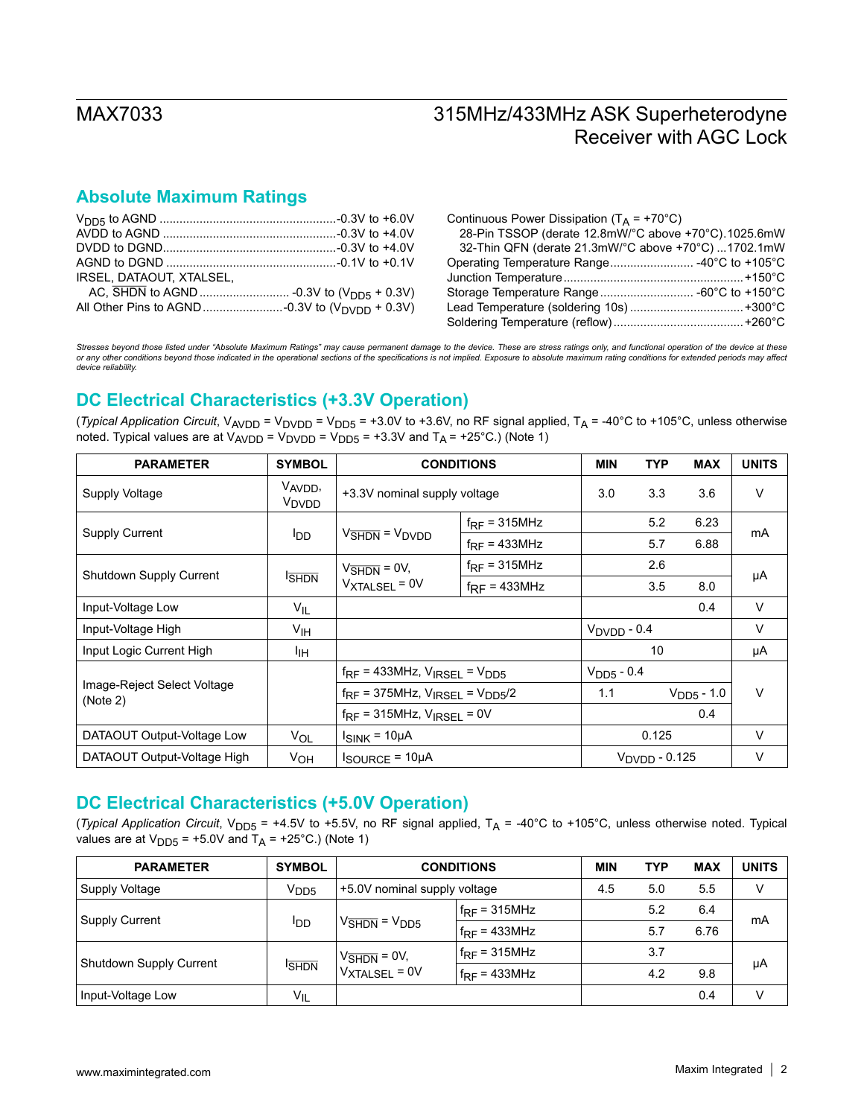## **Absolute Maximum Ratings**

| IRSEL. DATAOUT. XTALSEL. |  |
|--------------------------|--|
|                          |  |
|                          |  |

| Continuous Power Dissipation ( $T_A$ = +70°C)        |  |
|------------------------------------------------------|--|
| 28-Pin TSSOP (derate 12.8mW/°C above +70°C).1025.6mW |  |
| 32-Thin QFN (derate 21.3mW/°C above +70°C) 1702.1mW  |  |
|                                                      |  |
|                                                      |  |
|                                                      |  |
|                                                      |  |
|                                                      |  |
|                                                      |  |

*Stresses beyond those listed under "Absolute Maximum Ratings" may cause permanent damage to the device. These are stress ratings only, and functional operation of the device at these or any other conditions beyond those indicated in the operational sections of the specifications is not implied. Exposure to absolute maximum rating conditions for extended periods may affect device reliability.*

## **DC Electrical Characteristics (+3.3V Operation)**

(*Typical Application Circuit*,  $V_{AVDD}$  =  $V_{DVD}$  =  $V_{DDS}$  = +3.0V to +3.6V, no RF signal applied,  $T_A$  = -40°C to +105°C, unless otherwise noted. Typical values are at  $V_{AVDD} = V_{\text{DVDD}} = V_{\text{DDS}} = +3.3V$  and  $T_A = +25^{\circ}C$ .) (Note 1)

| <b>PARAMETER</b>                        | <b>SYMBOL</b>                            | <b>CONDITIONS</b>                            |                          | <b>MIN</b>              | <b>TYP</b>                | <b>MAX</b>      | <b>UNITS</b> |
|-----------------------------------------|------------------------------------------|----------------------------------------------|--------------------------|-------------------------|---------------------------|-----------------|--------------|
| Supply Voltage                          | V <sub>AVDD</sub> ,<br>V <sub>DVDD</sub> | +3.3V nominal supply voltage                 |                          | 3.0                     | 3.3                       | 3.6             | V            |
|                                         |                                          |                                              | $f_{RF}$ = 315MHz        |                         | 5.2                       | 6.23            | mA           |
| <b>Supply Current</b>                   | <b>I</b> DD                              | $VSHDN = VDVDD$                              | $f_{RF}$ = 433MHz        |                         | 5.7                       | 6.88            |              |
|                                         |                                          | $V_{\overline{\text{SHDN}}}$ = 0V,           | $f_{RF}$ = 315MHz        |                         | 2.6                       |                 | μA           |
| <b>Shutdown Supply Current</b>          | <b>SHDN</b>                              | $V_{\text{XTALSEL}} = 0V$                    | $f_{\text{RF}}$ = 433MHz |                         | 3.5                       | 8.0             |              |
| Input-Voltage Low                       | $V_{IL}$                                 |                                              |                          |                         |                           | 0.4             | $\vee$       |
| Input-Voltage High                      | $V_{\text{IH}}$                          |                                              |                          | $V_{\text{DVDD}}$ - 0.4 |                           |                 | V            |
| Input Logic Current High                | ŀıн                                      |                                              |                          |                         | 10                        |                 | μA           |
|                                         |                                          | $f_{RF}$ = 433MHz, $V_{IRSEL}$ = $V_{DD5}$   |                          | $V_{\text{DD5}}$ - 0.4  |                           |                 |              |
| Image-Reject Select Voltage<br>(Note 2) |                                          | $f_{RF}$ = 375MHz, $V_{IRSEL}$ = $V_{DD5}/2$ |                          | 1.1                     |                           | $V_{DD5} - 1.0$ | $\vee$       |
|                                         |                                          | $f_{RF}$ = 315MHz, $V_{IRSEL}$ = 0V          |                          |                         |                           | 0.4             |              |
| DATAOUT Output-Voltage Low              | <b>VOL</b>                               | $I_{SINK} = 10\mu A$                         |                          |                         | 0.125                     |                 | $\vee$       |
| DATAOUT Output-Voltage High             | V <sub>OH</sub>                          | $I_{\text{SOURCE}} = 10 \mu A$               |                          |                         | $V_{\text{DVDD}}$ - 0.125 |                 | $\vee$       |

## **DC Electrical Characteristics (+5.0V Operation)**

(*Typical Application Circuit*,  $V_{DD5}$  = +4.5V to +5.5V, no RF signal applied,  $T_A$  = -40°C to +105°C, unless otherwise noted. Typical values are at  $V_{DD5}$  = +5.0V and  $T_A$  = +25°C.) (Note 1)

| <b>PARAMETER</b>        | <b>SYMBOL</b>    | <b>CONDITIONS</b>                               |                   | <b>MIN</b> | <b>TYP</b> | <b>MAX</b> | <b>UNITS</b> |
|-------------------------|------------------|-------------------------------------------------|-------------------|------------|------------|------------|--------------|
| Supply Voltage          | V <sub>DD5</sub> | +5.0V nominal supply voltage                    |                   | 4.5        | 5.0        | 5.5        | V            |
|                         | ldd              | $V_{\overline{\text{SHDN}}}$ = $V_{\text{DD5}}$ | $f_{RF}$ = 315MHz |            | 5.2        | 6.4        | mA           |
| Supply Current          |                  |                                                 | $f_{RF}$ = 433MHz |            | 5.7        | 6.76       |              |
|                         | <b>SHDN</b>      | $V_{\overline{\text{SHDN}}}$ = 0V,              | $f_{RF}$ = 315MHz |            | 3.7        |            | μA           |
| Shutdown Supply Current |                  | $V_{\text{XTALSEL}} = 0V$                       | $f_{RF}$ = 433MHz |            | 4.2        | 9.8        |              |
| Input-Voltage Low       | $V_{IL}$         |                                                 |                   |            |            | 0.4        | v            |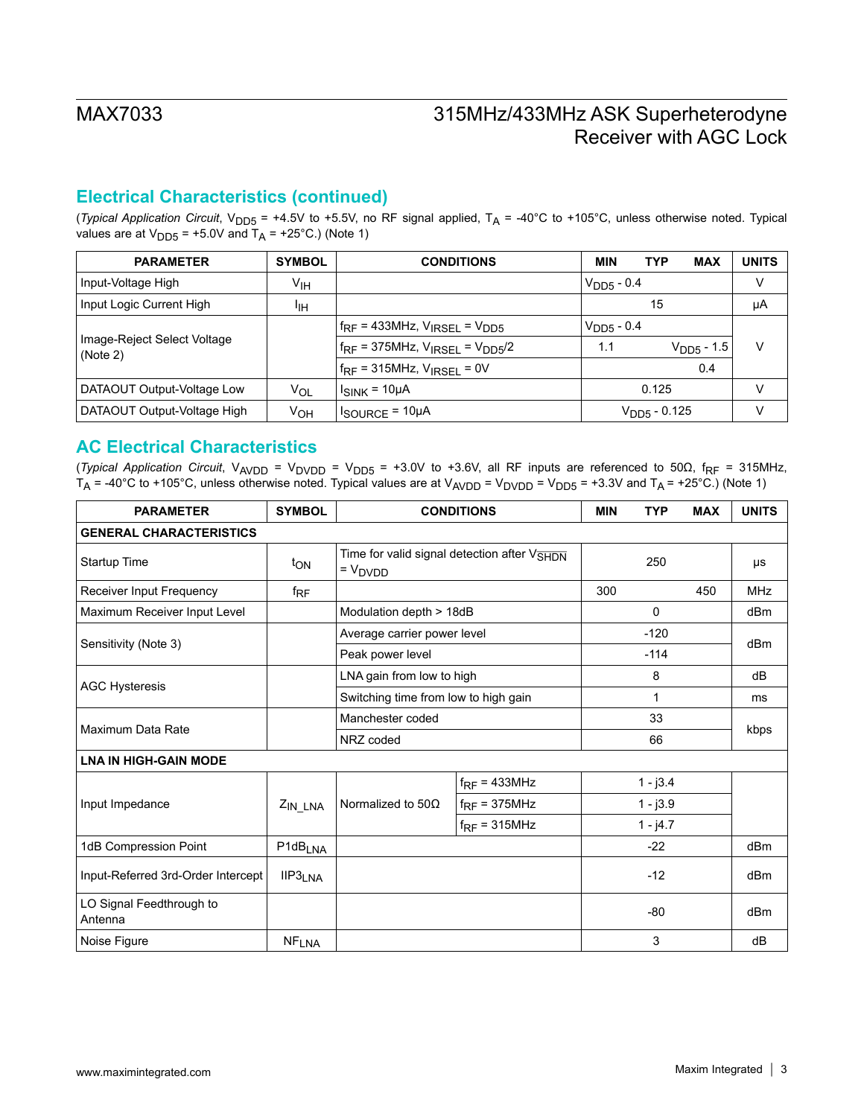## **Electrical Characteristics (continued)**

(*Typical Application Circuit*, V<sub>DD5</sub> = +4.5V to +5.5V, no RF signal applied, T<sub>A</sub> = -40°C to +105°C, unless otherwise noted. Typical values are at  $V_{DD5}$  = +5.0V and  $T_A$  = +25°C.) (Note 1)

| <b>PARAMETER</b>                        | <b>SYMBOL</b> | <b>CONDITIONS</b>                            | <b>MIN</b>      | <b>TYP</b>               | <b>MAX</b>      | <b>UNITS</b> |
|-----------------------------------------|---------------|----------------------------------------------|-----------------|--------------------------|-----------------|--------------|
| Input-Voltage High                      | Υιн           |                                              | $V_{DD5} - 0.4$ |                          |                 | V            |
| Input Logic Current High                | ŀщ            |                                              |                 | 15                       |                 | μA           |
|                                         |               | $f_{RF}$ = 433MHz, $V_{IRSEL}$ = $V_{DD5}$   | $V_{DD5} - 0.4$ |                          |                 |              |
| Image-Reject Select Voltage<br>(Note 2) |               | $f_{RF}$ = 375MHz, $V_{IRSEL}$ = $V_{DD5}/2$ | 1.1             |                          | $V_{DD5} - 1.5$ | v            |
|                                         |               | $f_{RF}$ = 315MHz, $V_{IRSE1}$ = 0V          |                 |                          | 0.4             |              |
| DATAOUT Output-Voltage Low              | Vol           | $I_{SINK}$ = 10µA                            |                 | 0.125                    |                 | V            |
| DATAOUT Output-Voltage High             | Ѵон           | $I_{\text{SOURCE}} = 10 \mu \text{A}$        |                 | V <sub>DD5</sub> - 0.125 |                 | V            |

### **AC Electrical Characteristics**

(*Typical Application Circuit*, V<sub>AVDD</sub> = V<sub>DVDD</sub> = V<sub>DD5</sub> = +3.0V to +3.6V, all RF inputs are referenced to 50Ω, f<sub>RF</sub> = 315MHz,  $T_A$  = -40°C to +105°C, unless otherwise noted. Typical values are at  $V_{AVDD}$  =  $V_{DVD}$  =  $V_{DDS}$  = +3.3V and  $T_A$  = +25°C.) (Note 1)

| <b>PARAMETER</b>                    | <b>SYMBOL</b>         | <b>CONDITIONS</b>                    |                                             | <b>MIN</b> | <b>TYP</b> | <b>MAX</b> | <b>UNITS</b> |  |
|-------------------------------------|-----------------------|--------------------------------------|---------------------------------------------|------------|------------|------------|--------------|--|
| <b>GENERAL CHARACTERISTICS</b>      |                       |                                      |                                             |            |            |            |              |  |
| Startup Time                        | ton                   | $= V_{DVDD}$                         | Time for valid signal detection after VSHDN |            | 250        |            | μs           |  |
| Receiver Input Frequency            | $f_{\sf RF}$          |                                      |                                             | 300        |            | 450        | <b>MHz</b>   |  |
| Maximum Receiver Input Level        |                       | Modulation depth > 18dB              |                                             |            | $\Omega$   |            | dBm          |  |
|                                     |                       | Average carrier power level          |                                             |            | $-120$     |            | dBm          |  |
| Sensitivity (Note 3)                |                       | Peak power level                     |                                             |            | $-114$     |            |              |  |
|                                     |                       | LNA gain from low to high            |                                             |            | 8          |            | dB           |  |
| <b>AGC Hysteresis</b>               |                       | Switching time from low to high gain |                                             |            | 1          |            | ms           |  |
| Maximum Data Rate                   |                       | Manchester coded                     |                                             | 33<br>66   |            |            |              |  |
|                                     |                       | NRZ coded                            |                                             |            |            |            | kbps         |  |
| <b>LNA IN HIGH-GAIN MODE</b>        |                       |                                      |                                             |            |            |            |              |  |
|                                     |                       |                                      | $f_{RF}$ = 433MHz                           |            | $1 - j3.4$ |            |              |  |
| Input Impedance                     | $Z_{IN\_LNA}$         | Normalized to 50 $\Omega$            | $f_{RF}$ = 375MHz                           |            | $1 - j3.9$ |            |              |  |
|                                     |                       |                                      | $f_{RF}$ = 315MHz                           |            | $1 - j4.7$ |            |              |  |
| 1dB Compression Point               | $P1dB$ <sub>LNA</sub> |                                      |                                             |            | $-22$      |            | dBm          |  |
| Input-Referred 3rd-Order Intercept  | IIP3 <sub>LNA</sub>   |                                      |                                             |            | $-12$      |            | dBm          |  |
| LO Signal Feedthrough to<br>Antenna |                       |                                      |                                             |            | $-80$      |            | dBm          |  |
| Noise Figure                        | <b>NFLNA</b>          |                                      |                                             |            | 3          |            | dB           |  |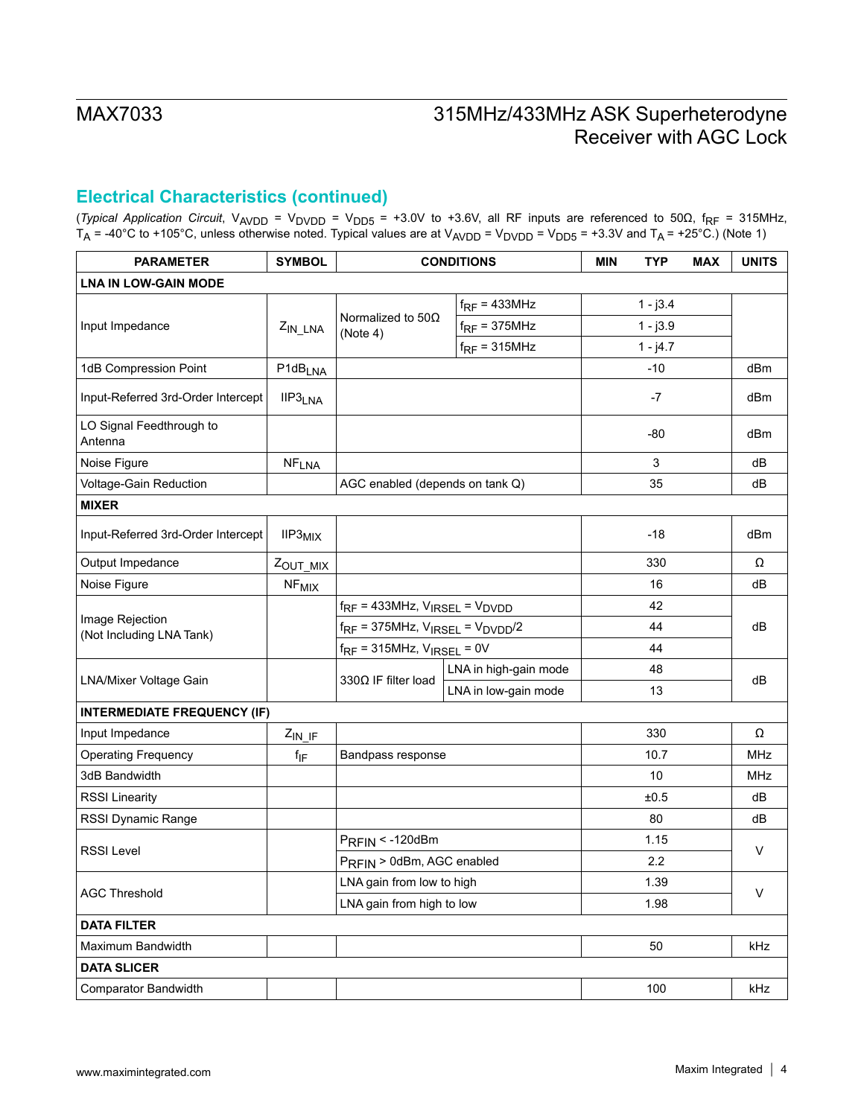## **Electrical Characteristics (continued)**

(*Typical Application Circuit*, VAVDD = VDVDD = VDD5 = +3.0V to +3.6V, all RF inputs are referenced to 50Ω, fRF = 315MHz,  $T_{\sf A}$  = -40°C to +105°C, unless otherwise noted. Typical values are at V<sub>AVDD</sub> = V<sub>DVDD</sub> = V<sub>DD5</sub> = +3.3V and T<sub>A</sub> = +25°C.) (Note 1)

| <b>PARAMETER</b>                            | <b>SYMBOL</b>           | <b>CONDITIONS</b>                                                                                                                   |                       | <b>MIN</b> | <b>MAX</b><br><b>TYP</b> | <b>UNITS</b> |  |
|---------------------------------------------|-------------------------|-------------------------------------------------------------------------------------------------------------------------------------|-----------------------|------------|--------------------------|--------------|--|
| <b>LNA IN LOW-GAIN MODE</b>                 |                         |                                                                                                                                     |                       |            |                          |              |  |
|                                             |                         |                                                                                                                                     | $f_{RF}$ = 433MHz     |            | $1 - j3.4$               |              |  |
| Input Impedance                             | $Z_{IN\_LNA}$           | Normalized to $50\Omega$<br>(Note 4)                                                                                                | $f_{RF}$ = 375MHz     |            | $1 - j3.9$               |              |  |
|                                             |                         |                                                                                                                                     | $f_{RF}$ = 315MHz     |            | $1 - j4.7$               |              |  |
| 1dB Compression Point                       | P1dB <sub>LNA</sub>     |                                                                                                                                     |                       |            | $-10$                    | dBm          |  |
| Input-Referred 3rd-Order Intercept          | IIP3 <sub>LNA</sub>     |                                                                                                                                     |                       |            | $-7$                     | dBm          |  |
| LO Signal Feedthrough to<br>Antenna         |                         |                                                                                                                                     |                       |            | -80                      | dBm          |  |
| Noise Figure                                | <b>NFLNA</b>            |                                                                                                                                     |                       |            | 3                        | dB           |  |
| Voltage-Gain Reduction                      |                         | AGC enabled (depends on tank Q)                                                                                                     |                       |            | 35                       | dВ           |  |
| <b>MIXER</b>                                |                         |                                                                                                                                     |                       |            |                          |              |  |
| Input-Referred 3rd-Order Intercept          | IIP3 <sub>MIX</sub>     |                                                                                                                                     |                       |            | $-18$                    | dBm          |  |
| Output Impedance                            | ZOUT_MIX                |                                                                                                                                     |                       |            | 330                      | Ω            |  |
| Noise Figure                                | <b>NF<sub>MIX</sub></b> |                                                                                                                                     |                       |            | 16                       | dB           |  |
|                                             |                         | $f_{RF}$ = 433MHz, $V_{IRSEL}$ = $V_{DVDD}$<br>$f_{RF}$ = 375MHz, $V_{IRSEL}$ = $V_{DVDD}/2$<br>$f_{RF}$ = 315MHz, $V_{IRSEL}$ = 0V |                       |            | 42                       |              |  |
| Image Rejection<br>(Not Including LNA Tank) |                         |                                                                                                                                     |                       |            | 44                       | dB           |  |
|                                             |                         |                                                                                                                                     |                       |            | 44                       |              |  |
|                                             |                         |                                                                                                                                     | LNA in high-gain mode |            | 48                       | dB           |  |
| LNA/Mixer Voltage Gain                      |                         | 330 $\Omega$ IF filter load                                                                                                         | LNA in low-gain mode  |            | 13                       |              |  |
| <b>INTERMEDIATE FREQUENCY (IF)</b>          |                         |                                                                                                                                     |                       |            |                          |              |  |
| Input Impedance                             | $Z_{IN\_IF}$            |                                                                                                                                     |                       |            | 330                      | Ω            |  |
| <b>Operating Frequency</b>                  | $f_{\text{IF}}$         | Bandpass response                                                                                                                   |                       |            | 10.7                     | MHz          |  |
| 3dB Bandwidth                               |                         |                                                                                                                                     |                       |            | 10                       | <b>MHz</b>   |  |
| <b>RSSI Linearity</b>                       |                         |                                                                                                                                     |                       |            | ±0.5                     | dВ           |  |
| RSSI Dynamic Range                          |                         |                                                                                                                                     |                       |            | 80                       | dB           |  |
| <b>RSSI Level</b>                           |                         | $P_{RFIN}$ < -120dBm                                                                                                                |                       |            | 1.15                     | V            |  |
|                                             |                         | PRFIN > 0dBm, AGC enabled                                                                                                           |                       |            | 2.2                      |              |  |
| <b>AGC Threshold</b>                        |                         | LNA gain from low to high                                                                                                           |                       |            | 1.39                     | $\vee$       |  |
|                                             |                         | LNA gain from high to low                                                                                                           |                       |            | 1.98                     |              |  |
| <b>DATA FILTER</b>                          |                         |                                                                                                                                     |                       |            |                          |              |  |
| Maximum Bandwidth                           |                         |                                                                                                                                     |                       |            | 50                       | kHz          |  |
| <b>DATA SLICER</b>                          |                         |                                                                                                                                     |                       |            |                          |              |  |
| Comparator Bandwidth                        |                         |                                                                                                                                     |                       |            | 100                      | kHz          |  |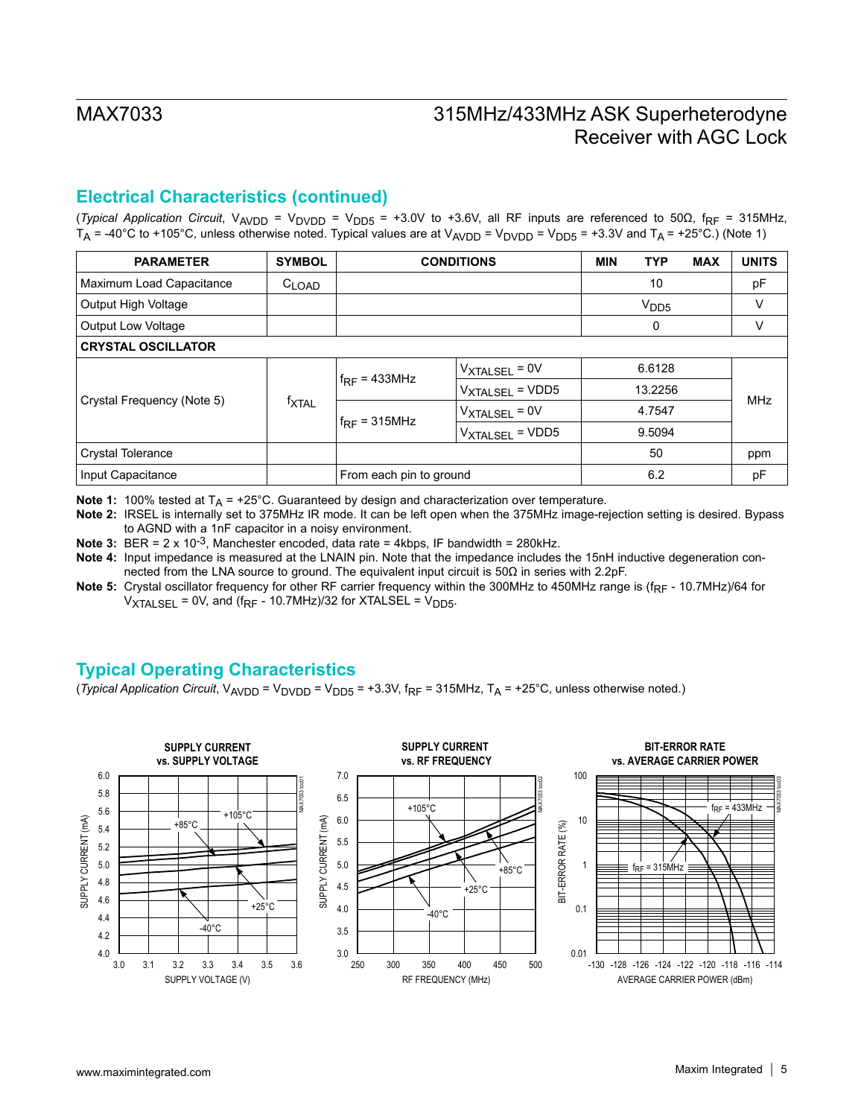## **Electrical Characteristics (continued)**

(*Typical Application Circuit*, V<sub>AVDD</sub> = V<sub>DVDD</sub> = V<sub>DD5</sub> = +3.0V to +3.6V, all RF inputs are referenced to 50Ω, f<sub>RF</sub> = 315MHz,  $T_A$  = -40°C to +105°C, unless otherwise noted. Typical values are at  $V_{AVDD}$  =  $V_{DVD}$  =  $V_{DDB}$  = +3.3V and  $T_A$  = +25°C.) (Note 1)

| <b>PARAMETER</b>           | <b>SYMBOL</b>       | <b>CONDITIONS</b>       |                             | <b>MIN</b> | <b>TYP</b>       | <b>MAX</b> | <b>UNITS</b> |  |  |  |  |  |  |  |  |  |  |  |  |  |   |  |   |
|----------------------------|---------------------|-------------------------|-----------------------------|------------|------------------|------------|--------------|--|--|--|--|--|--|--|--|--|--|--|--|--|---|--|---|
| Maximum Load Capacitance   | $C_{\mathsf{LOAD}}$ |                         |                             |            | 10               |            | pF           |  |  |  |  |  |  |  |  |  |  |  |  |  |   |  |   |
| Output High Voltage        |                     |                         |                             |            | V <sub>DD5</sub> |            | V            |  |  |  |  |  |  |  |  |  |  |  |  |  |   |  |   |
| Output Low Voltage         |                     |                         |                             |            |                  |            |              |  |  |  |  |  |  |  |  |  |  |  |  |  | 0 |  | V |
| <b>CRYSTAL OSCILLATOR</b>  |                     |                         |                             |            |                  |            |              |  |  |  |  |  |  |  |  |  |  |  |  |  |   |  |   |
|                            | <sup>f</sup> XTAL   |                         | $V_{\text{XTALSEL}}$ = 0V   |            | 6.6128           |            |              |  |  |  |  |  |  |  |  |  |  |  |  |  |   |  |   |
|                            |                     | $f_{RF}$ = 433MHz       | V <sub>XTALSEL</sub> = VDD5 |            | 13.2256          |            | <b>MHz</b>   |  |  |  |  |  |  |  |  |  |  |  |  |  |   |  |   |
| Crystal Frequency (Note 5) |                     |                         | VXTALSEL = 0V               |            | 4.7547           |            |              |  |  |  |  |  |  |  |  |  |  |  |  |  |   |  |   |
|                            |                     | $f_{RF}$ = 315MHz       | $V_{\text{XTALSEL}}$ = VDD5 |            | 9.5094           |            |              |  |  |  |  |  |  |  |  |  |  |  |  |  |   |  |   |
| <b>Crystal Tolerance</b>   |                     |                         |                             |            | 50               |            | ppm          |  |  |  |  |  |  |  |  |  |  |  |  |  |   |  |   |
| Input Capacitance          |                     | From each pin to ground |                             |            | 6.2              |            | pF           |  |  |  |  |  |  |  |  |  |  |  |  |  |   |  |   |

**Note 1:** 100% tested at  $T_A$  = +25°C. Guaranteed by design and characterization over temperature.

**Note 2:** IRSEL is internally set to 375MHz IR mode. It can be left open when the 375MHz image-rejection setting is desired. Bypass to AGND with a 1nF capacitor in a noisy environment.

**Note 3:** BER = 2 x 10<sup>-3</sup>, Manchester encoded, data rate = 4kbps, IF bandwidth = 280kHz.

**Note 4:** Input impedance is measured at the LNAIN pin. Note that the impedance includes the 15nH inductive degeneration connected from the LNA source to ground. The equivalent input circuit is 50Ω in series with 2.2pF.

Note 5: Crystal oscillator frequency for other RF carrier frequency within the 300MHz to 450MHz range is (f<sub>RF</sub> - 10.7MHz)/64 for  $V_{\text{XTALSEL}}$  = 0V, and (f<sub>RF</sub> - 10.7MHz)/32 for XTALSEL =  $V_{\text{DD5}}$ .

## **Typical Operating Characteristics**

(*Typical Application Circuit*, V<sub>AVDD</sub> = V<sub>DVDD</sub> = V<sub>DD5</sub> = +3.3V, f<sub>RF</sub> = 315MHz, T<sub>A</sub> = +25°C, unless otherwise noted.)

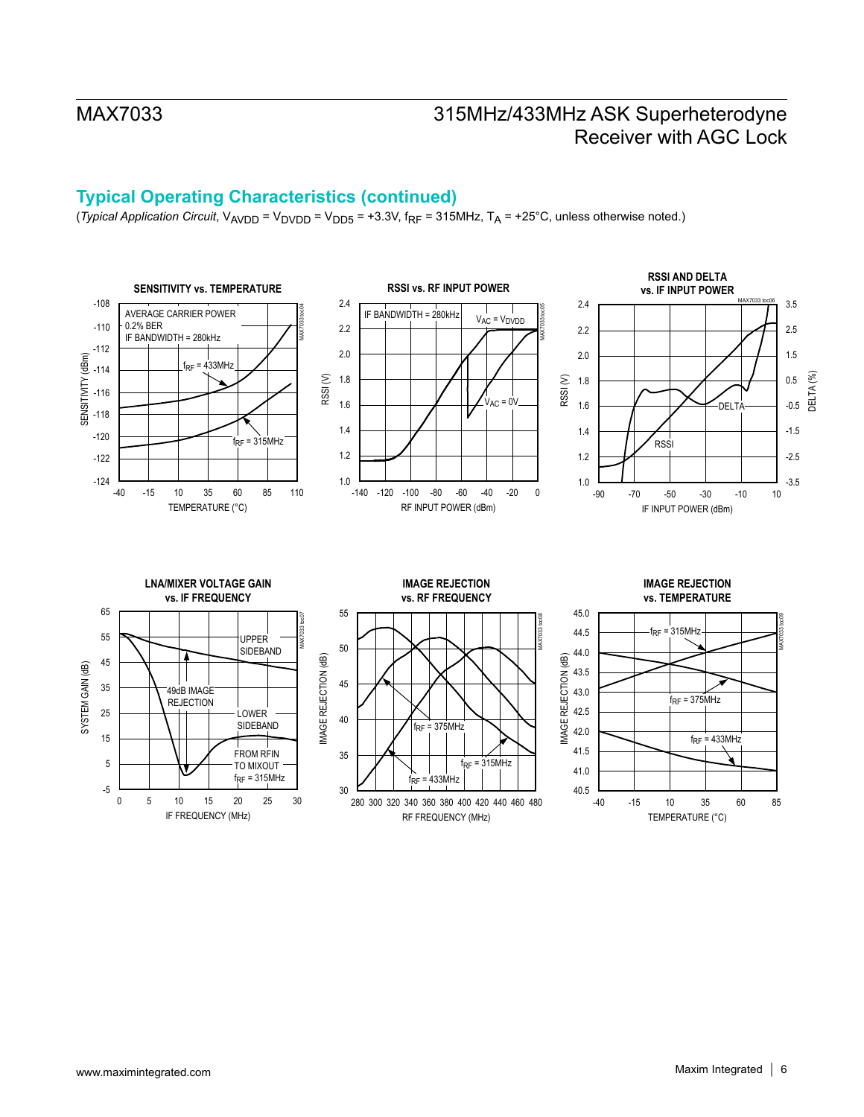# **Typical Operating Characteristics (continued)**

(*Typical Application Circuit*, V<sub>AVDD</sub> = V<sub>DVDD</sub> = V<sub>DD5</sub> = +3.3V, f<sub>RF</sub> = 315MHz, T<sub>A</sub> = +25°C, unless otherwise noted.)

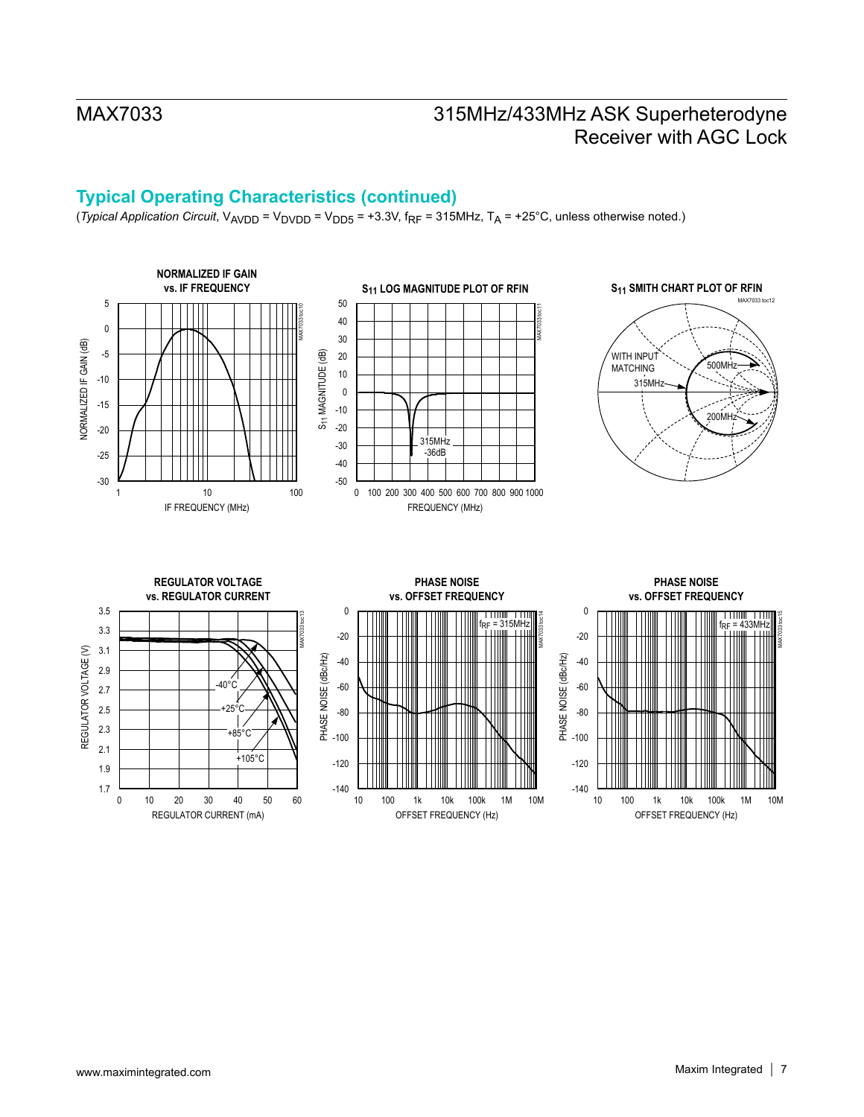# **Typical Operating Characteristics (continued)**

(*Typical Application Circuit*, V<sub>AVDD</sub> = V<sub>DVDD</sub> = V<sub>DD5</sub> = +3.3V, f<sub>RF</sub> = 315MHz, T<sub>A</sub> = +25°C, unless otherwise noted.)

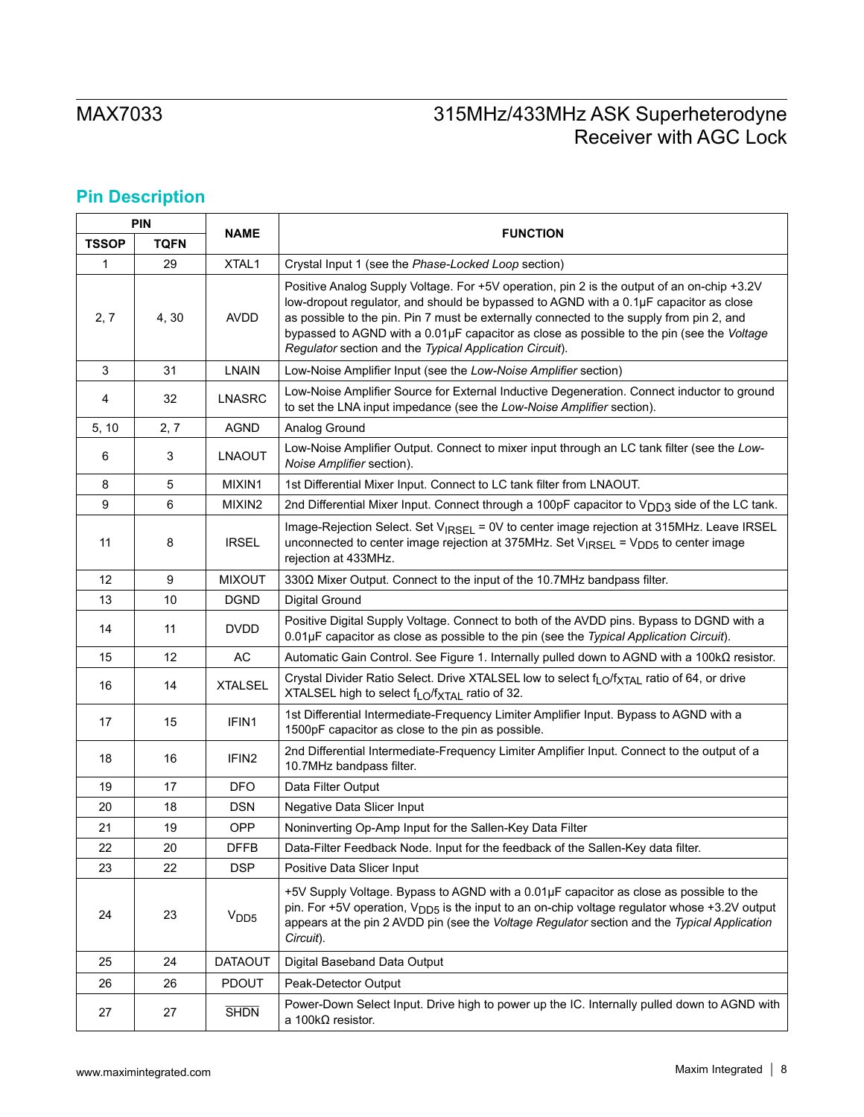# **Pin Description**

| <b>PIN</b><br><b>NAME</b> |             |                   |                                                                                                                                                                                                                                                                                                                                                                                                                                         |  |  |  |
|---------------------------|-------------|-------------------|-----------------------------------------------------------------------------------------------------------------------------------------------------------------------------------------------------------------------------------------------------------------------------------------------------------------------------------------------------------------------------------------------------------------------------------------|--|--|--|
| <b>TSSOP</b>              | <b>TQFN</b> |                   | <b>FUNCTION</b>                                                                                                                                                                                                                                                                                                                                                                                                                         |  |  |  |
| $\mathbf{1}$              | 29          | XTAL1             | Crystal Input 1 (see the Phase-Locked Loop section)                                                                                                                                                                                                                                                                                                                                                                                     |  |  |  |
| 2, 7                      | 4,30        | <b>AVDD</b>       | Positive Analog Supply Voltage. For +5V operation, pin 2 is the output of an on-chip +3.2V<br>low-dropout regulator, and should be bypassed to AGND with a 0.1µF capacitor as close<br>as possible to the pin. Pin 7 must be externally connected to the supply from pin 2, and<br>bypassed to AGND with a 0.01µF capacitor as close as possible to the pin (see the Voltage<br>Regulator section and the Typical Application Circuit). |  |  |  |
| 3                         | 31          | <b>LNAIN</b>      | Low-Noise Amplifier Input (see the Low-Noise Amplifier section)                                                                                                                                                                                                                                                                                                                                                                         |  |  |  |
| 4                         | 32          | <b>LNASRC</b>     | Low-Noise Amplifier Source for External Inductive Degeneration. Connect inductor to ground<br>to set the LNA input impedance (see the Low-Noise Amplifier section).                                                                                                                                                                                                                                                                     |  |  |  |
| 5, 10                     | 2, 7        | <b>AGND</b>       | Analog Ground                                                                                                                                                                                                                                                                                                                                                                                                                           |  |  |  |
| 6                         | 3           | <b>LNAOUT</b>     | Low-Noise Amplifier Output. Connect to mixer input through an LC tank filter (see the Low-<br>Noise Amplifier section).                                                                                                                                                                                                                                                                                                                 |  |  |  |
| 8                         | 5           | MIXIN1            | 1st Differential Mixer Input. Connect to LC tank filter from LNAOUT.                                                                                                                                                                                                                                                                                                                                                                    |  |  |  |
| 9                         | 6           | MIXIN2            | 2nd Differential Mixer Input. Connect through a 100pF capacitor to V <sub>DD3</sub> side of the LC tank.                                                                                                                                                                                                                                                                                                                                |  |  |  |
| 11                        | 8           | <b>IRSEL</b>      | Image-Rejection Select. Set V <sub>IRSEL</sub> = 0V to center image rejection at 315MHz. Leave IRSEL<br>unconnected to center image rejection at 375MHz. Set V <sub>IRSEL</sub> = V <sub>DD5</sub> to center image<br>rejection at 433MHz.                                                                                                                                                                                              |  |  |  |
| 12                        | 9           | <b>MIXOUT</b>     | 3300 Mixer Output. Connect to the input of the 10.7MHz bandpass filter.                                                                                                                                                                                                                                                                                                                                                                 |  |  |  |
| 13                        | 10          | <b>DGND</b>       | Digital Ground                                                                                                                                                                                                                                                                                                                                                                                                                          |  |  |  |
| 14                        | 11          | <b>DVDD</b>       | Positive Digital Supply Voltage. Connect to both of the AVDD pins. Bypass to DGND with a<br>0.01µF capacitor as close as possible to the pin (see the Typical Application Circuit).                                                                                                                                                                                                                                                     |  |  |  |
| 15                        | 12          | AC                | Automatic Gain Control. See Figure 1. Internally pulled down to AGND with a 100 $k\Omega$ resistor.                                                                                                                                                                                                                                                                                                                                     |  |  |  |
| 16                        | 14          | <b>XTALSEL</b>    | Crystal Divider Ratio Select. Drive XTALSEL low to select f <sub>LO</sub> /f <sub>XTAL</sub> ratio of 64, or drive<br>XTALSEL high to select f <sub>LO</sub> /f <sub>XTAL</sub> ratio of 32.                                                                                                                                                                                                                                            |  |  |  |
| 17                        | 15          | IFIN1             | 1st Differential Intermediate-Frequency Limiter Amplifier Input. Bypass to AGND with a<br>1500pF capacitor as close to the pin as possible.                                                                                                                                                                                                                                                                                             |  |  |  |
| 18                        | 16          | IFIN <sub>2</sub> | 2nd Differential Intermediate-Frequency Limiter Amplifier Input. Connect to the output of a<br>10.7MHz bandpass filter.                                                                                                                                                                                                                                                                                                                 |  |  |  |
| 19                        | 17          | <b>DFO</b>        | Data Filter Output                                                                                                                                                                                                                                                                                                                                                                                                                      |  |  |  |
| 20                        | 18          | <b>DSN</b>        | Negative Data Slicer Input                                                                                                                                                                                                                                                                                                                                                                                                              |  |  |  |
| 21                        | 19          | <b>OPP</b>        | Noninverting Op-Amp Input for the Sallen-Key Data Filter                                                                                                                                                                                                                                                                                                                                                                                |  |  |  |
| 22                        | 20          | <b>DFFB</b>       | Data-Filter Feedback Node. Input for the feedback of the Sallen-Key data filter.                                                                                                                                                                                                                                                                                                                                                        |  |  |  |
| 23                        | 22          | <b>DSP</b>        | Positive Data Slicer Input                                                                                                                                                                                                                                                                                                                                                                                                              |  |  |  |
| 24                        | 23          | V <sub>DD5</sub>  | +5V Supply Voltage. Bypass to AGND with a 0.01µF capacitor as close as possible to the<br>pin. For +5V operation, $V_{\text{DDS}}$ is the input to an on-chip voltage regulator whose +3.2V output<br>appears at the pin 2 AVDD pin (see the Voltage Regulator section and the Typical Application<br>Circuit).                                                                                                                         |  |  |  |
| 25                        | 24          | <b>DATAOUT</b>    | Digital Baseband Data Output                                                                                                                                                                                                                                                                                                                                                                                                            |  |  |  |
| 26                        | 26          | <b>PDOUT</b>      | Peak-Detector Output                                                                                                                                                                                                                                                                                                                                                                                                                    |  |  |  |
| 27                        | 27          | <b>SHDN</b>       | Power-Down Select Input. Drive high to power up the IC. Internally pulled down to AGND with<br>a 100 $k\Omega$ resistor.                                                                                                                                                                                                                                                                                                                |  |  |  |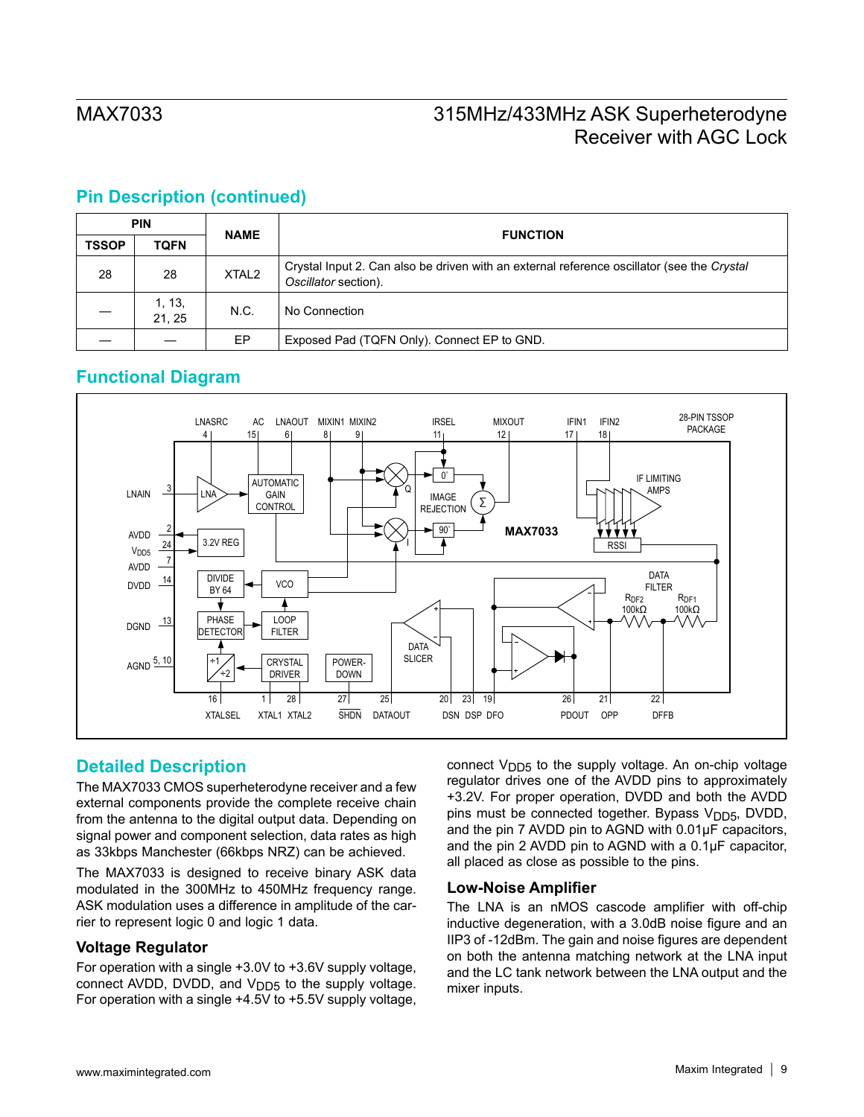## **Pin Description (continued)**

| <b>PIN</b>   |                 | <b>NAME</b>       | <b>FUNCTION</b>                                                                                                    |  |
|--------------|-----------------|-------------------|--------------------------------------------------------------------------------------------------------------------|--|
| <b>TSSOP</b> | <b>TQFN</b>     |                   |                                                                                                                    |  |
| 28           | 28              | XTAL <sub>2</sub> | Crystal Input 2. Can also be driven with an external reference oscillator (see the Crystal<br>Oscillator section). |  |
|              | 1, 13,<br>21.25 | N.C.              | No Connection                                                                                                      |  |
|              |                 | EP.               | Exposed Pad (TQFN Only). Connect EP to GND.                                                                        |  |

## **Functional Diagram**



## **Detailed Description**

The MAX7033 CMOS superheterodyne receiver and a few external components provide the complete receive chain from the antenna to the digital output data. Depending on signal power and component selection, data rates as high as 33kbps Manchester (66kbps NRZ) can be achieved.

The MAX7033 is designed to receive binary ASK data modulated in the 300MHz to 450MHz frequency range. ASK modulation uses a difference in amplitude of the carrier to represent logic 0 and logic 1 data.

### **Voltage Regulator**

For operation with a single +3.0V to +3.6V supply voltage, connect AVDD, DVDD, and  $V_{DD5}$  to the supply voltage. For operation with a single +4.5V to +5.5V supply voltage, connect V<sub>DD5</sub> to the supply voltage. An on-chip voltage regulator drives one of the AVDD pins to approximately +3.2V. For proper operation, DVDD and both the AVDD pins must be connected together. Bypass  $V<sub>DD5</sub>$ , DVDD, and the pin 7 AVDD pin to AGND with 0.01μF capacitors, and the pin 2 AVDD pin to AGND with a 0.1μF capacitor, all placed as close as possible to the pins.

### **Low-Noise Amplifier**

The LNA is an nMOS cascode amplifier with off-chip inductive degeneration, with a 3.0dB noise figure and an IIP3 of -12dBm. The gain and noise figures are dependent on both the antenna matching network at the LNA input and the LC tank network between the LNA output and the mixer inputs.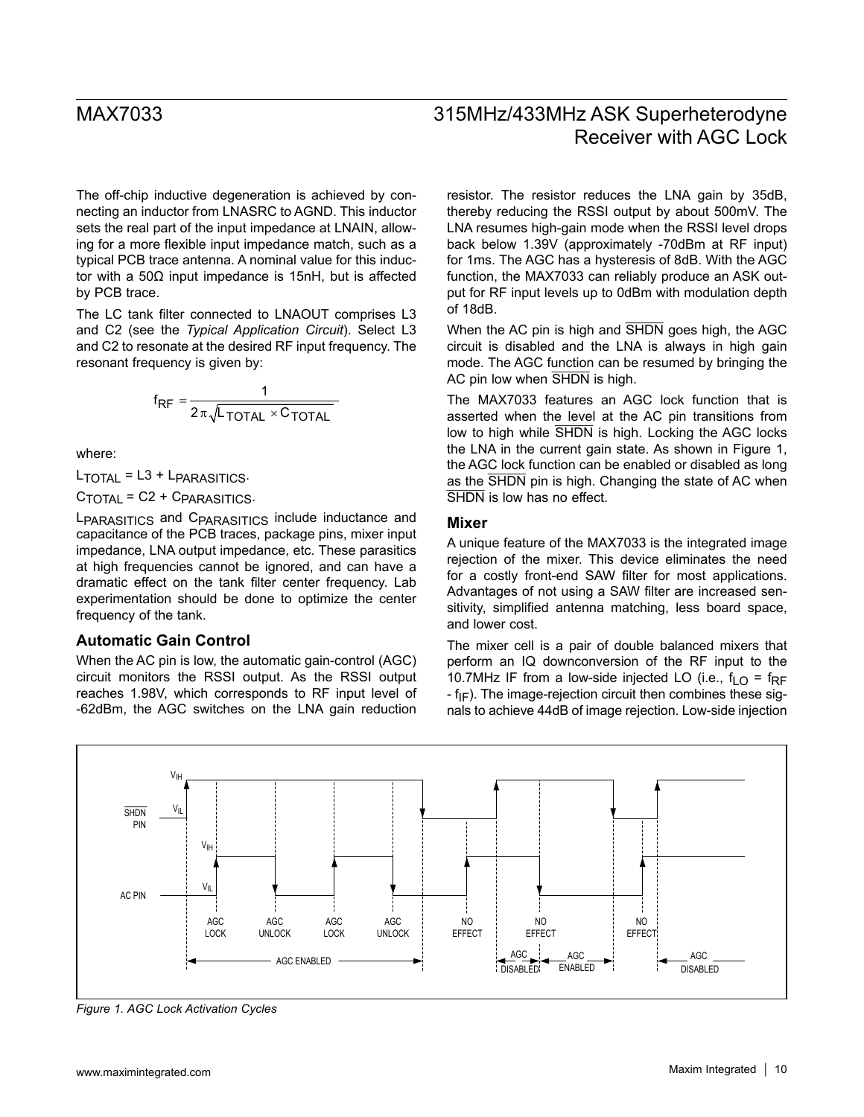The off-chip inductive degeneration is achieved by connecting an inductor from LNASRC to AGND. This inductor sets the real part of the input impedance at LNAIN, allowing for a more flexible input impedance match, such as a typical PCB trace antenna. A nominal value for this inductor with a 50Ω input impedance is 15nH, but is affected by PCB trace.

The LC tank filter connected to LNAOUT comprises L3 and C2 (see the *Typical Application Circuit*). Select L3 and C2 to resonate at the desired RF input frequency. The resonant frequency is given by:

$$
f_{RF} = \frac{1}{2\pi\sqrt{L_{\text{TOTAL}} \times C_{\text{TOTAL}}}}
$$

where:

 $L_{\text{TOTAL}} = L3 + L_{\text{PARASITICS}}$ .

 $C_{\text{TOTAL}}$  = C2 +  $C_{\text{PARASITICS}}$ .

LPARASITICS and CPARASITICS include inductance and capacitance of the PCB traces, package pins, mixer input impedance, LNA output impedance, etc. These parasitics at high frequencies cannot be ignored, and can have a dramatic effect on the tank filter center frequency. Lab experimentation should be done to optimize the center frequency of the tank.

### **Automatic Gain Control**

When the AC pin is low, the automatic gain-control (AGC) circuit monitors the RSSI output. As the RSSI output reaches 1.98V, which corresponds to RF input level of -62dBm, the AGC switches on the LNA gain reduction

# MAX7033 315MHz/433MHz ASK Superheterodyne Receiver with AGC Lock

resistor. The resistor reduces the LNA gain by 35dB, thereby reducing the RSSI output by about 500mV. The LNA resumes high-gain mode when the RSSI level drops back below 1.39V (approximately -70dBm at RF input) for 1ms. The AGC has a hysteresis of 8dB. With the AGC function, the MAX7033 can reliably produce an ASK output for RF input levels up to 0dBm with modulation depth of 18dB.

When the AC pin is high and SHDN goes high, the AGC circuit is disabled and the LNA is always in high gain mode. The AGC function can be resumed by bringing the AC pin low when SHDN is high.

The MAX7033 features an AGC lock function that is asserted when the level at the AC pin transitions from low to high while SHDN is high. Locking the AGC locks the LNA in the current gain state. As shown in Figure 1, the AGC lock function can be enabled or disabled as long as the SHDN pin is high. Changing the state of AC when SHDN is low has no effect.

### **Mixer**

A unique feature of the MAX7033 is the integrated image rejection of the mixer. This device eliminates the need for a costly front-end SAW filter for most applications. Advantages of not using a SAW filter are increased sensitivity, simplified antenna matching, less board space, and lower cost.

The mixer cell is a pair of double balanced mixers that perform an IQ downconversion of the RF input to the 10.7MHz IF from a low-side injected LO (i.e.,  $f_{\text{LO}} = f_{\text{RF}}$  $-f_{IF}$ ). The image-rejection circuit then combines these signals to achieve 44dB of image rejection. Low-side injection



*Figure 1. AGC Lock Activation Cycles*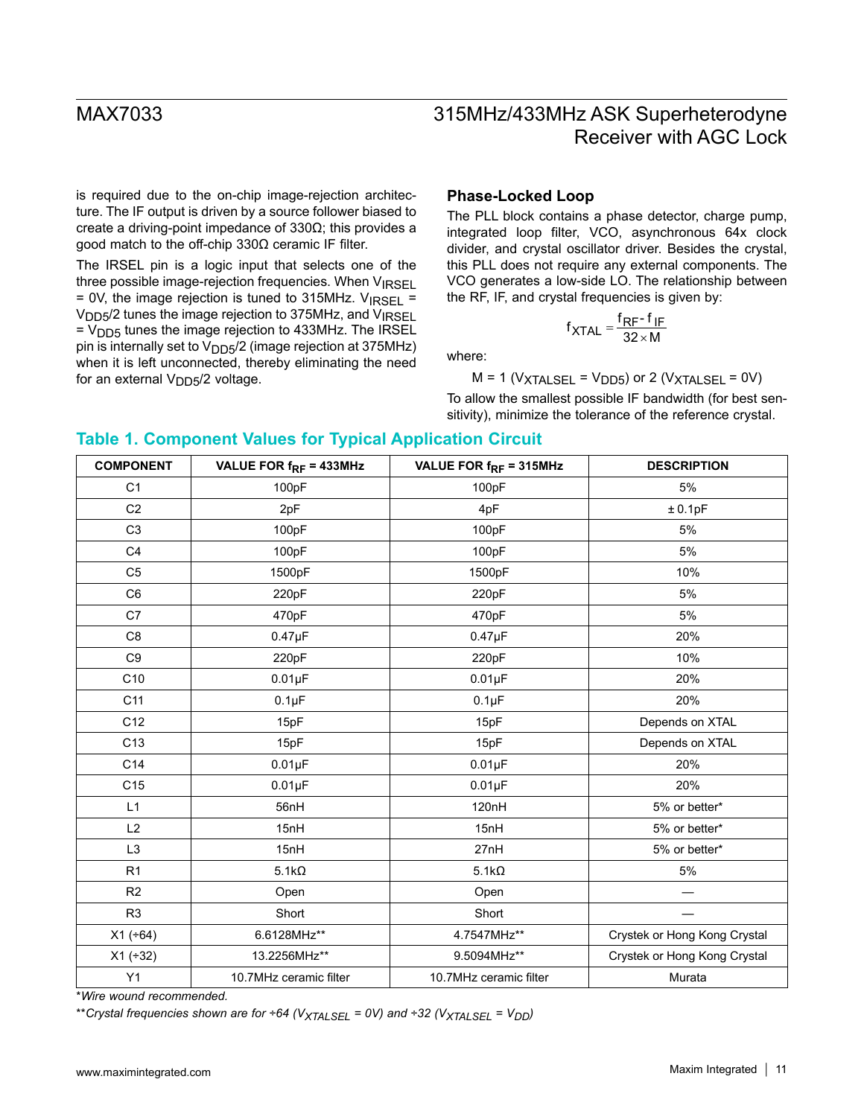is required due to the on-chip image-rejection architecture. The IF output is driven by a source follower biased to create a driving-point impedance of 330Ω; this provides a good match to the off-chip 330Ω ceramic IF filter.

The IRSEL pin is a logic input that selects one of the three possible image-rejection frequencies. When  $V_{\text{IRSE}}$  $= 0V$ , the image rejection is tuned to 315MHz. V<sub>IRSEL</sub> = V<sub>DD5</sub>/2 tunes the image rejection to 375MHz, and V<sub>IRSEL</sub>  $=$  V<sub>DD5</sub> tunes the image rejection to 433MHz. The IRSEL pin is internally set to  $V_{DD5}/2$  (image rejection at 375MHz) when it is left unconnected, thereby eliminating the need for an external  $V_{DD5}/2$  voltage.

### **Phase-Locked Loop**

The PLL block contains a phase detector, charge pump, integrated loop filter, VCO, asynchronous 64x clock divider, and crystal oscillator driver. Besides the crystal, this PLL does not require any external components. The VCO generates a low-side LO. The relationship between the RF, IF, and crystal frequencies is given by:

$$
f_{\text{XTAL}} = \frac{f_{\text{RF}} - f_{\text{IF}}}{32 \times M}
$$

where:

 $M = 1$  (V<sub>XTALSEL</sub> = V<sub>DD5</sub>) or 2 (V<sub>XTALSEL</sub> = 0V) To allow the smallest possible IF bandwidth (for best sen-

sitivity), minimize the tolerance of the reference crystal.

### **Table 1. Component Values for Typical Application Circuit**

| <b>COMPONENT</b> | VALUE FOR $f_{RF}$ = 433MHz | VALUE FOR $f_{RF}$ = 315MHz | <b>DESCRIPTION</b>           |
|------------------|-----------------------------|-----------------------------|------------------------------|
| C <sub>1</sub>   | 100pF                       | 100pF                       | 5%                           |
| C <sub>2</sub>   | 2pF                         | 4pF                         | ± 0.1pF                      |
| C <sub>3</sub>   | 100pF                       | 100pF                       | 5%                           |
| C <sub>4</sub>   | 100pF                       | 100pF                       | 5%                           |
| C <sub>5</sub>   | 1500pF                      | 1500pF                      | 10%                          |
| C <sub>6</sub>   | 220pF                       | 220pF                       | 5%                           |
| C7               | 470pF                       | 470pF                       | 5%                           |
| C <sub>8</sub>   | $0.47 \mu F$                | $0.47 \mu F$                | 20%                          |
| C <sub>9</sub>   | 220pF                       | 220pF                       | 10%                          |
| C10              | $0.01\mu F$                 | $0.01\mu F$                 | 20%                          |
| C <sub>11</sub>  | $0.1\mu F$                  | $0.1\mu F$                  | 20%                          |
| C12              | 15pF                        | 15pF                        | Depends on XTAL              |
| C13              | 15pF                        | 15pF                        | Depends on XTAL              |
| C14              | $0.01\mu F$                 | $0.01\mu F$                 | 20%                          |
| C <sub>15</sub>  | $0.01\mu F$                 | $0.01\mu F$                 | 20%                          |
| L1               | 56nH                        | 120nH                       | 5% or better*                |
| L2               | 15nH                        | 15nH                        | 5% or better*                |
| L <sub>3</sub>   | 15nH                        | 27nH                        | 5% or better*                |
| R <sub>1</sub>   | $5.1k\Omega$                | $5.1k\Omega$                | 5%                           |
| R2               | Open                        | Open                        |                              |
| R <sub>3</sub>   | Short                       | Short                       |                              |
| $X1 (+64)$       | 6.6128MHz**                 | 4.7547MHz**                 | Crystek or Hong Kong Crystal |
| $X1 (+32)$       | 13.2256MHz**                | 9.5094MHz**                 | Crystek or Hong Kong Crystal |
| Y1               | 10.7MHz ceramic filter      | 10.7MHz ceramic filter      | Murata                       |

\**Wire wound recommended.*

\*\**Crystal frequencies shown are for ÷64* (V<sub>XTALSEL</sub> = 0V) and ÷32 (V<sub>XTALSEL</sub> = V<sub>DD</sub>)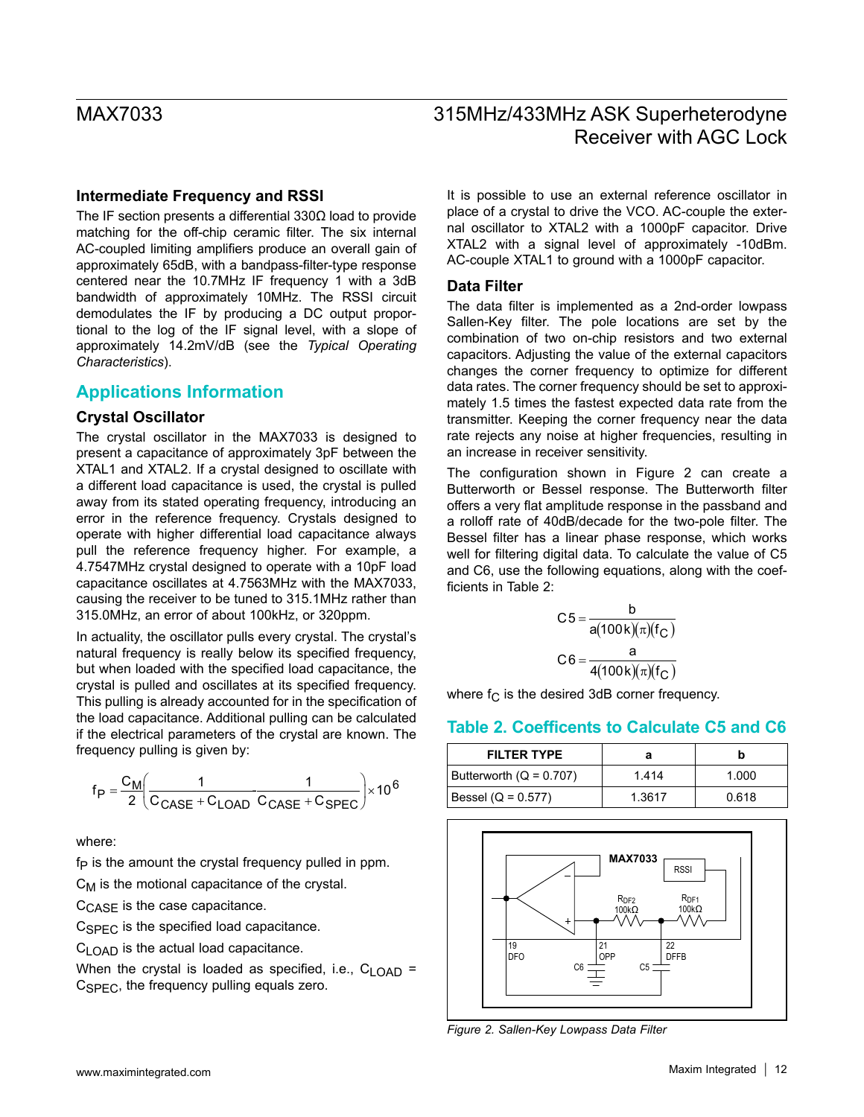### **Intermediate Frequency and RSSI**

The IF section presents a differential 330Ω load to provide matching for the off-chip ceramic filter. The six internal AC-coupled limiting amplifiers produce an overall gain of approximately 65dB, with a bandpass-filter-type response centered near the 10.7MHz IF frequency 1 with a 3dB bandwidth of approximately 10MHz. The RSSI circuit demodulates the IF by producing a DC output proportional to the log of the IF signal level, with a slope of approximately 14.2mV/dB (see the *Typical Operating Characteristics*).

### **Applications Information**

### **Crystal Oscillator**

The crystal oscillator in the MAX7033 is designed to present a capacitance of approximately 3pF between the XTAL1 and XTAL2. If a crystal designed to oscillate with a different load capacitance is used, the crystal is pulled away from its stated operating frequency, introducing an error in the reference frequency. Crystals designed to operate with higher differential load capacitance always pull the reference frequency higher. For example, a 4.7547MHz crystal designed to operate with a 10pF load capacitance oscillates at 4.7563MHz with the MAX7033, causing the receiver to be tuned to 315.1MHz rather than 315.0MHz, an error of about 100kHz, or 320ppm.

In actuality, the oscillator pulls every crystal. The crystal's natural frequency is really below its specified frequency, but when loaded with the specified load capacitance, the crystal is pulled and oscillates at its specified frequency. This pulling is already accounted for in the specification of the load capacitance. Additional pulling can be calculated if the electrical parameters of the crystal are known. The frequency pulling is given by:

$$
f_P = \frac{C_M}{2} \left( \frac{1}{C_{CASE} + C_{LOAD} C_{CASE} + C_{SPEC}} \right) \times 10^6
$$

where:

 $f<sub>P</sub>$  is the amount the crystal frequency pulled in ppm.

 $C_M$  is the motional capacitance of the crystal.

C<sub>CASF</sub> is the case capacitance.

 $C<sub>SPEC</sub>$  is the specified load capacitance.

 $C_{1 \cap AD}$  is the actual load capacitance.

When the crystal is loaded as specified, i.e.,  $C_{\text{LOAD}}$  =  $C<sub>SPEC</sub>$ , the frequency pulling equals zero.

It is possible to use an external reference oscillator in place of a crystal to drive the VCO. AC-couple the external oscillator to XTAL2 with a 1000pF capacitor. Drive XTAL2 with a signal level of approximately -10dBm. AC-couple XTAL1 to ground with a 1000pF capacitor.

### **Data Filter**

The data filter is implemented as a 2nd-order lowpass Sallen-Key filter. The pole locations are set by the combination of two on-chip resistors and two external capacitors. Adjusting the value of the external capacitors changes the corner frequency to optimize for different data rates. The corner frequency should be set to approximately 1.5 times the fastest expected data rate from the transmitter. Keeping the corner frequency near the data rate rejects any noise at higher frequencies, resulting in an increase in receiver sensitivity.

The configuration shown in Figure 2 can create a Butterworth or Bessel response. The Butterworth filter offers a very flat amplitude response in the passband and a rolloff rate of 40dB/decade for the two-pole filter. The Bessel filter has a linear phase response, which works well for filtering digital data. To calculate the value of C5 and C6, use the following equations, along with the coefficients in Table 2:

$$
C5 = \frac{b}{a(100k)(\pi)(f_C)}
$$

$$
C6 = \frac{a}{4(100k)(\pi)(f_C)}
$$

where  $f_C$  is the desired 3dB corner frequency.

### **Table 2. Coefficents to Calculate C5 and C6**

| <b>FILTER TYPE</b>        | а      |       |
|---------------------------|--------|-------|
| Butterworth $(Q = 0.707)$ | 1.414  | 1.000 |
| Bessel (Q = 0.577)        | 1.3617 | 0.618 |



*Figure 2. Sallen-Key Lowpass Data Filter*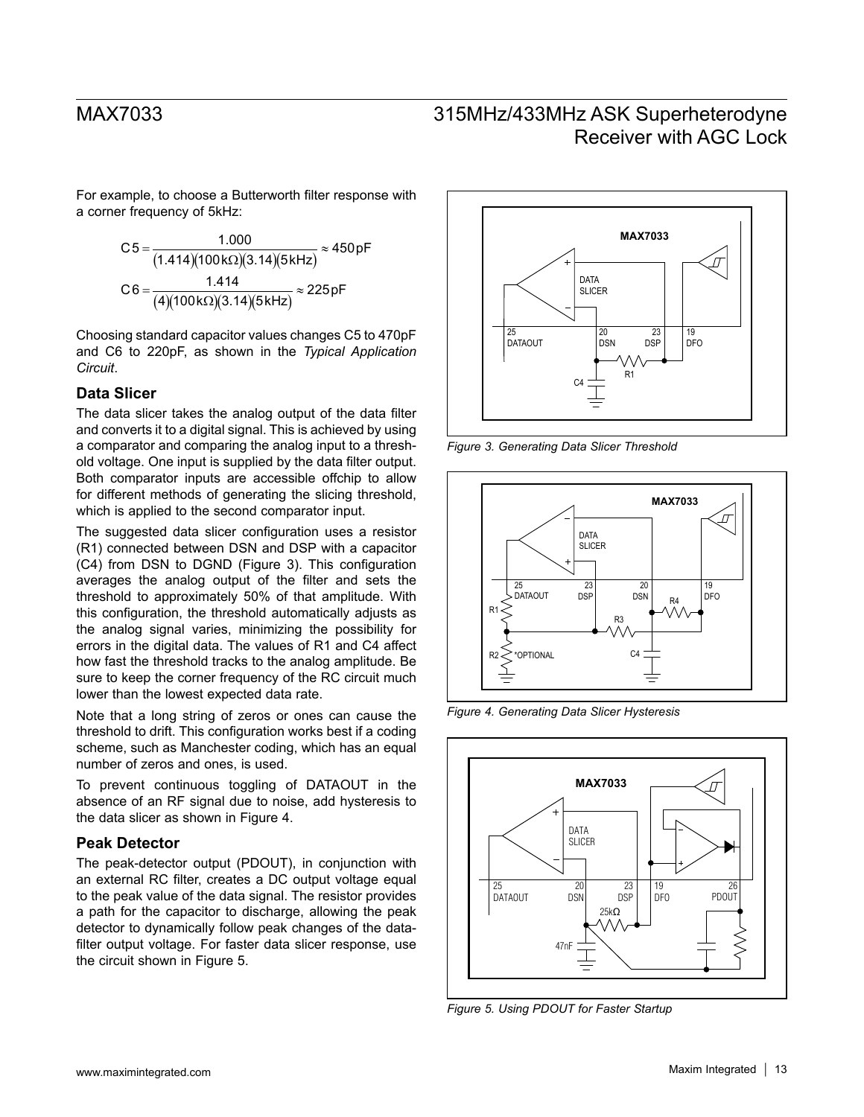For example, to choose a Butterworth filter response with a corner frequency of 5kHz:

$$
C5 = \frac{1.000}{(1.414)(100k\Omega)(3.14)(5kHz)} \approx 450pF
$$

$$
C6 = \frac{1.414}{(4)(100k\Omega)(3.14)(5kHz)} \approx 225pF
$$

Choosing standard capacitor values changes C5 to 470pF and C6 to 220pF, as shown in the *Typical Application Circuit*.

### **Data Slicer**

The data slicer takes the analog output of the data filter and converts it to a digital signal. This is achieved by using a comparator and comparing the analog input to a threshold voltage. One input is supplied by the data filter output. Both comparator inputs are accessible offchip to allow for different methods of generating the slicing threshold, which is applied to the second comparator input.

The suggested data slicer configuration uses a resistor (R1) connected between DSN and DSP with a capacitor (C4) from DSN to DGND (Figure 3). This configuration averages the analog output of the filter and sets the threshold to approximately 50% of that amplitude. With this configuration, the threshold automatically adjusts as the analog signal varies, minimizing the possibility for errors in the digital data. The values of R1 and C4 affect how fast the threshold tracks to the analog amplitude. Be sure to keep the corner frequency of the RC circuit much lower than the lowest expected data rate.

Note that a long string of zeros or ones can cause the threshold to drift. This configuration works best if a coding scheme, such as Manchester coding, which has an equal number of zeros and ones, is used.

To prevent continuous toggling of DATAOUT in the absence of an RF signal due to noise, add hysteresis to the data slicer as shown in Figure 4.

### **Peak Detector**

The peak-detector output (PDOUT), in conjunction with an external RC filter, creates a DC output voltage equal to the peak value of the data signal. The resistor provides a path for the capacitor to discharge, allowing the peak detector to dynamically follow peak changes of the datafilter output voltage. For faster data slicer response, use the circuit shown in Figure 5.



*Figure 3. Generating Data Slicer Threshold*



*Figure 4. Generating Data Slicer Hysteresis*



*Figure 5. Using PDOUT for Faster Startup*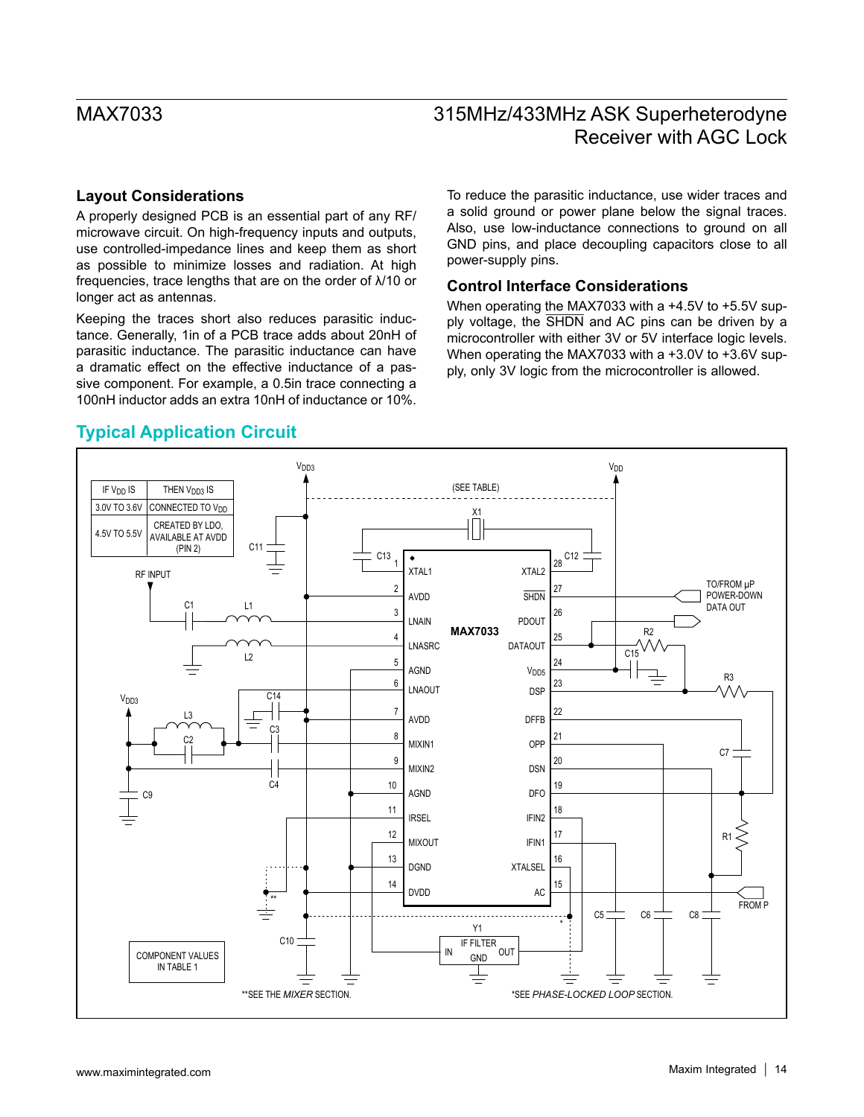### **Layout Considerations**

A properly designed PCB is an essential part of any RF/ microwave circuit. On high-frequency inputs and outputs, use controlled-impedance lines and keep them as short as possible to minimize losses and radiation. At high frequencies, trace lengths that are on the order of λ/10 or longer act as antennas.

Keeping the traces short also reduces parasitic inductance. Generally, 1in of a PCB trace adds about 20nH of parasitic inductance. The parasitic inductance can have a dramatic effect on the effective inductance of a passive component. For example, a 0.5in trace connecting a 100nH inductor adds an extra 10nH of inductance or 10%.

To reduce the parasitic inductance, use wider traces and a solid ground or power plane below the signal traces. Also, use low-inductance connections to ground on all GND pins, and place decoupling capacitors close to all power-supply pins.

### **Control Interface Considerations**

When operating the MAX7033 with a +4.5V to +5.5V supply voltage, the SHDN and AC pins can be driven by a microcontroller with either 3V or 5V interface logic levels. When operating the MAX7033 with a +3.0V to +3.6V supply, only 3V logic from the microcontroller is allowed.



## **Typical Application Circuit**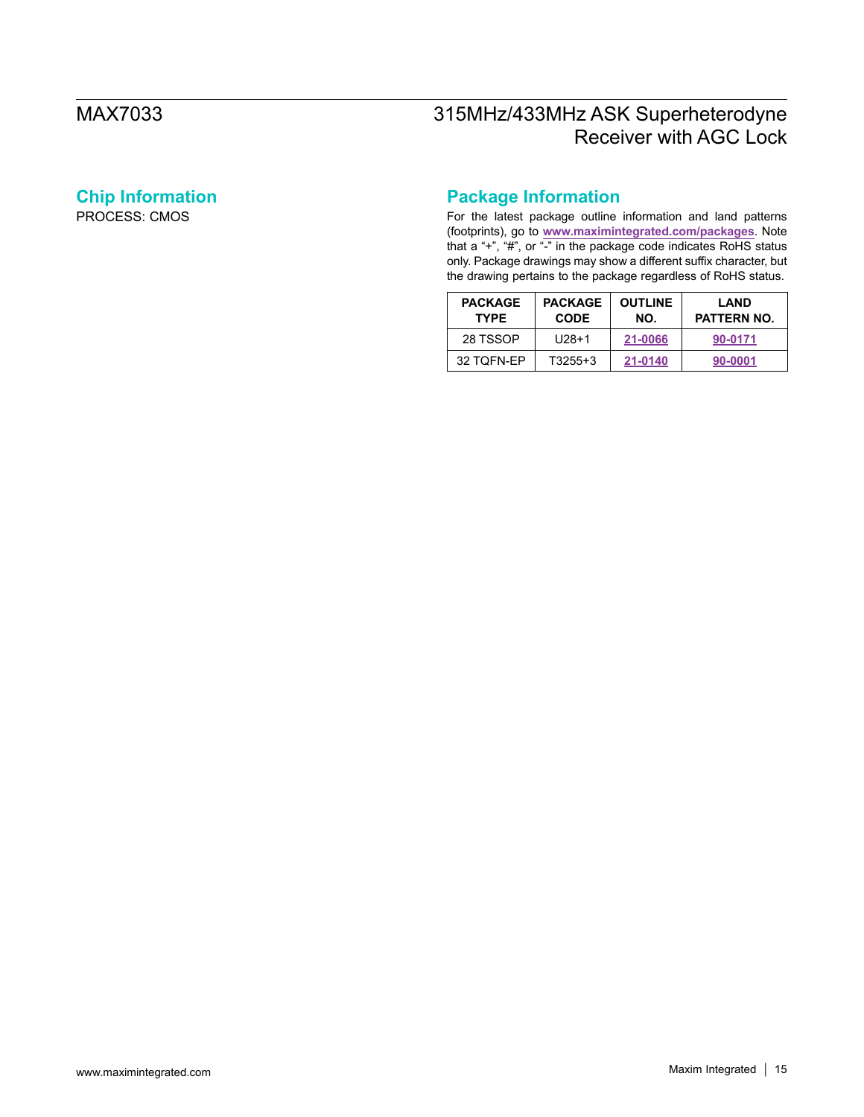# **Chip Information**

PROCESS: CMOS

# **Package Information**

For the latest package outline information and land patterns (footprints), go to **[www.maximintegrated.com/packages](http://www.maximintegrated.com/packages)**. Note that a "+", "#", or "-" in the package code indicates RoHS status only. Package drawings may show a different suffix character, but the drawing pertains to the package regardless of RoHS status.

| <b>PACKAGE</b><br><b>TYPE</b> | <b>PACKAGE</b><br><b>CODE</b> | <b>OUTLINE</b><br>NO. | LAND<br>PATTERN NO. |
|-------------------------------|-------------------------------|-----------------------|---------------------|
| 28 TSSOP                      | $U28+1$                       | 21-0066               | 90-0171             |
| 32 TOFN-EP                    | $T3255+3$                     | 21-0140               | 90-0001             |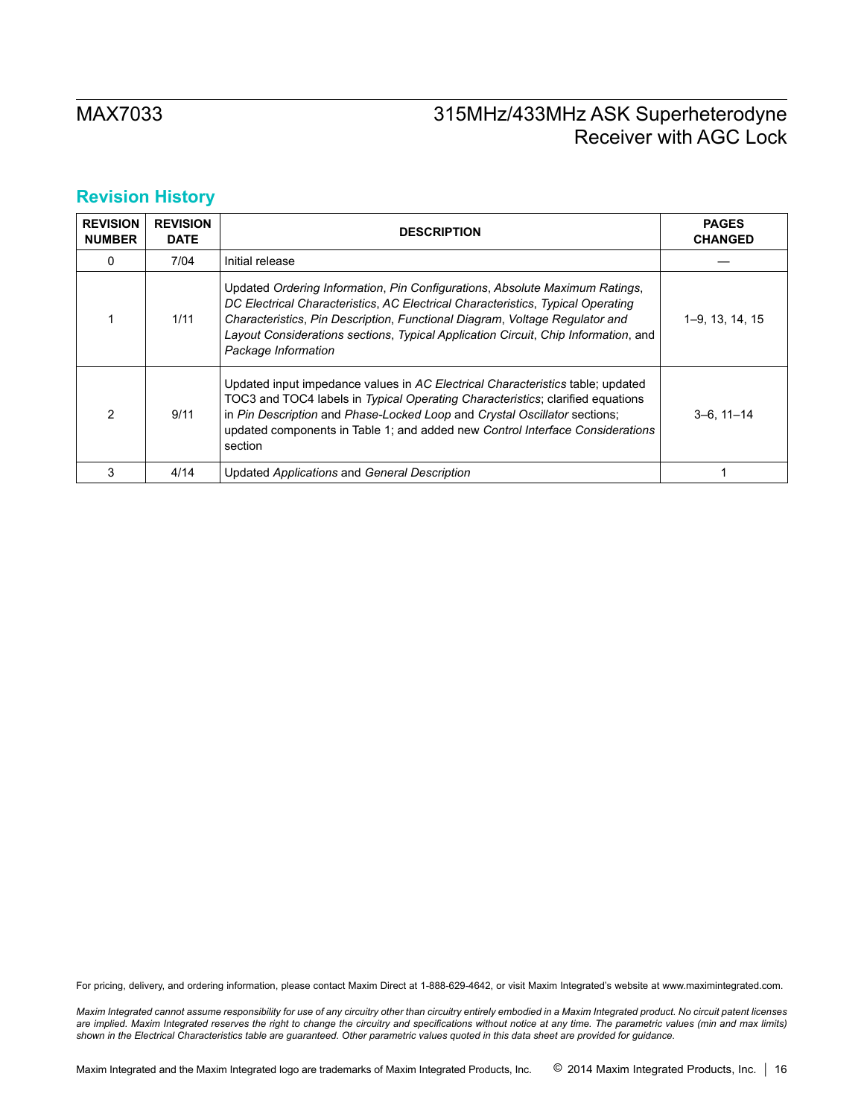# **Revision History**

| <b>REVISION</b><br><b>NUMBER</b> | <b>REVISION</b><br><b>DATE</b> | <b>DESCRIPTION</b>                                                                                                                                                                                                                                                                                                                                         | <b>PAGES</b><br><b>CHANGED</b> |
|----------------------------------|--------------------------------|------------------------------------------------------------------------------------------------------------------------------------------------------------------------------------------------------------------------------------------------------------------------------------------------------------------------------------------------------------|--------------------------------|
| 0                                | 7/04                           | Initial release                                                                                                                                                                                                                                                                                                                                            |                                |
|                                  | 1/11                           | Updated Ordering Information, Pin Configurations, Absolute Maximum Ratings,<br>DC Electrical Characteristics, AC Electrical Characteristics, Typical Operating<br>Characteristics, Pin Description, Functional Diagram, Voltage Regulator and<br>Layout Considerations sections, Typical Application Circuit, Chip Information, and<br>Package Information | 1–9, 13, 14, 15                |
| 2                                | 9/11                           | Updated input impedance values in AC Electrical Characteristics table; updated<br>TOC3 and TOC4 labels in Typical Operating Characteristics; clarified equations<br>in Pin Description and Phase-Locked Loop and Crystal Oscillator sections;<br>updated components in Table 1; and added new Control Interface Considerations<br>section                  | $3-6.11-14$                    |
| 3                                | 4/14                           | Updated Applications and General Description                                                                                                                                                                                                                                                                                                               |                                |

For pricing, delivery, and ordering information, please contact Maxim Direct at 1-888-629-4642, or visit Maxim Integrated's website at www.maximintegrated.com.

*Maxim Integrated cannot assume responsibility for use of any circuitry other than circuitry entirely embodied in a Maxim Integrated product. No circuit patent licenses*  are implied. Maxim Integrated reserves the right to change the circuitry and specifications without notice at any time. The parametric values (min and max limits) *shown in the Electrical Characteristics table are guaranteed. Other parametric values quoted in this data sheet are provided for guidance.*